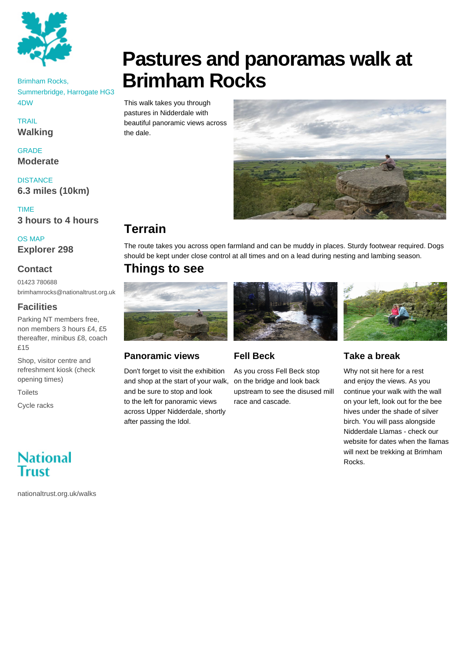

#### Brimham Rocks, Summerbridge, Harrogate HG3 4DW

**TRAIL** 

**Walking**

GRADE **Moderate**

**DISTANCE 6.3 miles (10km)**

TIME **3 hours to 4 hours**

OS MAP

**Explorer 298**

#### **Contact**

01423 780688 brimhamrocks@nationaltrust.org.uk

#### **Facilities**

Parking NT members free, non members 3 hours £4, £5 thereafter, minibus £8, coach £15

Shop, visitor centre and refreshment kiosk (check opening times)

**Toilets** 

Cycle racks

# **National** Trust

nationaltrust.org.uk/walks

# **Pastures and panoramas walk at Brimham Rocks**

This walk takes you through pastures in Nidderdale with beautiful panoramic views across the dale.



# **Terrain**

The route takes you across open farmland and can be muddy in places. Sturdy footwear required. Dogs should be kept under close control at all times and on a lead during nesting and lambing season.

# **Things to see**



#### **Panoramic views**

Don't forget to visit the exhibition and shop at the start of your walk, and be sure to stop and look to the left for panoramic views across Upper Nidderdale, shortly after passing the Idol.



## **Fell Beck**

As you cross Fell Beck stop on the bridge and look back upstream to see the disused mill race and cascade.



## **Take a break**

Why not sit here for a rest and enjoy the views. As you continue your walk with the wall on your left, look out for the bee hives under the shade of silver birch. You will pass alongside Nidderdale Llamas - check our website for dates when the llamas will next be trekking at Brimham Rocks.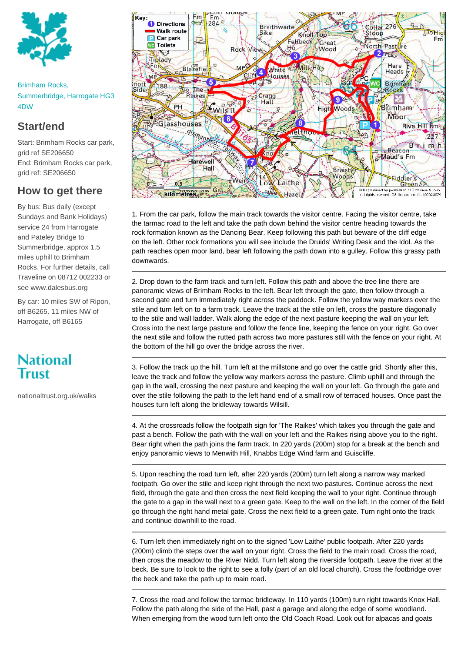

Brimham Rocks, Summerbridge, Harrogate HG3 4DW

## **Start/end**

Start: Brimham Rocks car park, grid ref SE206650 End: Brimham Rocks car park, grid ref: SE206650

### **How to get there**

By bus: Bus daily (except Sundays and Bank Holidays) service 24 from Harrogate and Pateley Bridge to Summerbridge, approx 1.5 miles uphill to Brimham Rocks. For further details, call Traveline on 08712 002233 or see www.dalesbus.org

By car: 10 miles SW of Ripon, off B6265. 11 miles NW of Harrogate, off B6165

# **National** Trust

nationaltrust.org.uk/walks



1. From the car park, follow the main track towards the visitor centre. Facing the visitor centre, take the tarmac road to the left and take the path down behind the visitor centre heading towards the rock formation known as the Dancing Bear. Keep following this path but beware of the cliff edge on the left. Other rock formations you will see include the Druids' Writing Desk and the Idol. As the path reaches open moor land, bear left following the path down into a gulley. Follow this grassy path downwards.

2. Drop down to the farm track and turn left. Follow this path and above the tree line there are panoramic views of Brimham Rocks to the left. Bear left through the gate, then follow through a second gate and turn immediately right across the paddock. Follow the yellow way markers over the stile and turn left on to a farm track. Leave the track at the stile on left, cross the pasture diagonally to the stile and wall ladder. Walk along the edge of the next pasture keeping the wall on your left. Cross into the next large pasture and follow the fence line, keeping the fence on your right. Go over the next stile and follow the rutted path across two more pastures still with the fence on your right. At the bottom of the hill go over the bridge across the river.

3. Follow the track up the hill. Turn left at the millstone and go over the cattle grid. Shortly after this, leave the track and follow the yellow way markers across the pasture. Climb uphill and through the gap in the wall, crossing the next pasture and keeping the wall on your left. Go through the gate and over the stile following the path to the left hand end of a small row of terraced houses. Once past the houses turn left along the bridleway towards Wilsill.

4. At the crossroads follow the footpath sign for 'The Raikes' which takes you through the gate and past a bench. Follow the path with the wall on your left and the Raikes rising above you to the right. Bear right when the path joins the farm track. In 220 yards (200m) stop for a break at the bench and enjoy panoramic views to Menwith Hill, Knabbs Edge Wind farm and Guiscliffe.

5. Upon reaching the road turn left, after 220 yards (200m) turn left along a narrow way marked footpath. Go over the stile and keep right through the next two pastures. Continue across the next field, through the gate and then cross the next field keeping the wall to your right. Continue through the gate to a gap in the wall next to a green gate. Keep to the wall on the left. In the corner of the field go through the right hand metal gate. Cross the next field to a green gate. Turn right onto the track and continue downhill to the road.

6. Turn left then immediately right on to the signed 'Low Laithe' public footpath. After 220 yards (200m) climb the steps over the wall on your right. Cross the field to the main road. Cross the road, then cross the meadow to the River Nidd. Turn left along the riverside footpath. Leave the river at the beck. Be sure to look to the right to see a folly (part of an old local church). Cross the footbridge over the beck and take the path up to main road.

7. Cross the road and follow the tarmac bridleway. In 110 yards (100m) turn right towards Knox Hall. Follow the path along the side of the Hall, past a garage and along the edge of some woodland. When emerging from the wood turn left onto the Old Coach Road. Look out for alpacas and goats